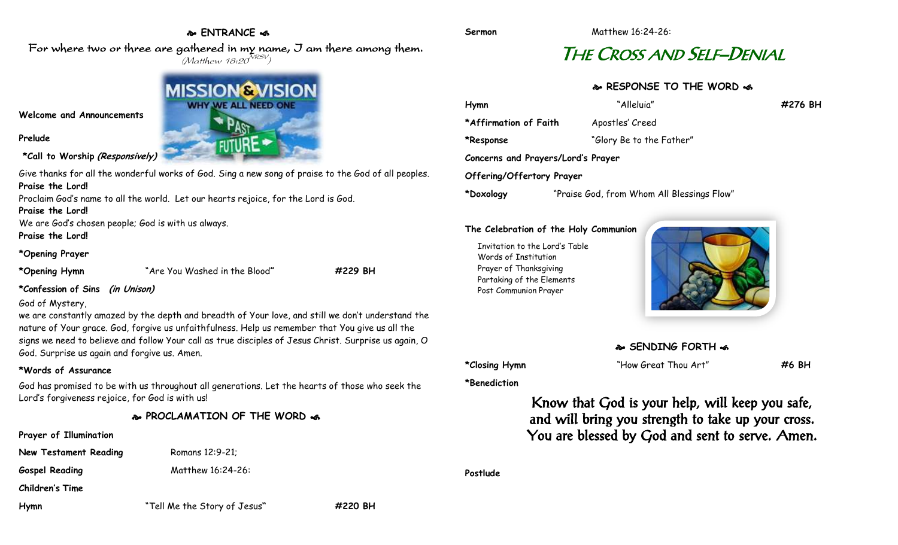## **ENTRANCE**

For where two or three are gathered in my name, I am there among them.  $(M$ atthew 18:20 $^{NRSV})$ 

## **Welcome and Announcements**

**Prelude**

**\*Call to Worship (Responsively)**

Give thanks for all the wonderful works of God. Sing a new song of praise to the God of all peoples. **Praise the Lord!** Proclaim God's name to all the world. Let our hearts rejoice, for the Lord is God.

**Praise the Lord!**

We are God's chosen people; God is with us always.

**Praise the Lord!**

## **\*Opening Prayer**

```
*Opening Hymn "Are You Washed in the Blood" #229 BH
```
**\*Confession of Sins (in Unison)**

## God of Mystery,

we are constantly amazed by the depth and breadth of Your love, and still we don't understand the nature of Your grace. God, forgive us unfaithfulness. Help us remember that You give us all the signs we need to believe and follow Your call as true disciples of Jesus Christ. Surprise us again, O God. Surprise us again and forgive us. Amen.

## **\*Words of Assurance**

God has promised to be with us throughout all generations. Let the hearts of those who seek the Lord's forgiveness rejoice, for God is with us!

## **PROCLAMATION OF THE WORD**

## **Prayer of Illumination**

**New Testament Reading Romans 12:9-21;** 

Gospel Reading Matthew 16:24-26:

**Children's Time**

**Hymn** "Tell Me the Story of Jesus**" #220 BH**

## THE CROSS AND SELF–DENIAL

## **RESPONSE TO THE WORD**

| Hymn                               | "Alleluia"                                 | #276 BH |
|------------------------------------|--------------------------------------------|---------|
| *Affirmation of Faith              | Apostles' Creed                            |         |
| *Response                          | "Glory Be to the Father"                   |         |
| Concerns and Prayers/Lord's Prayer |                                            |         |
| Offering/Offertory Prayer          |                                            |         |
| *Doxology                          | "Praise God, from Whom All Blessings Flow" |         |

## **The Celebration of the Holy Communion**

Invitation to the Lord's Table Words of Institution Prayer of Thanksgiving Partaking of the Elements Post Communion Prayer





**\*Benediction**

**\*Closing Hymn** "How Great Thou Art" **#6 BH**

Know that God is your help, will keep you safe, and will bring you strength to take up your cross. You are blessed by God and sent to serve. Amen.

**Postlude**

# **MISSION@VISION WHY WE ALL NEED ONE**